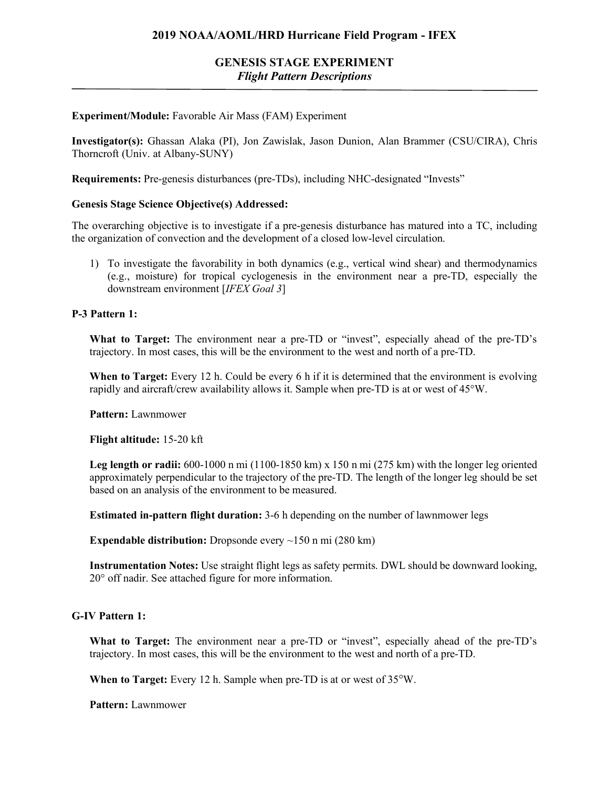# **GENESIS STAGE EXPERIMENT** *Flight Pattern Descriptions*

## **Experiment/Module:** Favorable Air Mass (FAM) Experiment

**Investigator(s):** Ghassan Alaka (PI), Jon Zawislak, Jason Dunion, Alan Brammer (CSU/CIRA), Chris Thorncroft (Univ. at Albany-SUNY)

**Requirements:** Pre-genesis disturbances (pre-TDs), including NHC-designated "Invests"

### **Genesis Stage Science Objective(s) Addressed:**

The overarching objective is to investigate if a pre-genesis disturbance has matured into a TC, including the organization of convection and the development of a closed low-level circulation.

1) To investigate the favorability in both dynamics (e.g., vertical wind shear) and thermodynamics (e.g., moisture) for tropical cyclogenesis in the environment near a pre-TD, especially the downstream environment [*IFEX Goal 3*]

### **P-3 Pattern 1:**

What to Target: The environment near a pre-TD or "invest", especially ahead of the pre-TD's trajectory. In most cases, this will be the environment to the west and north of a pre-TD.

**When to Target:** Every 12 h. Could be every 6 h if it is determined that the environment is evolving rapidly and aircraft/crew availability allows it. Sample when pre-TD is at or west of 45°W.

**Pattern:** Lawnmower

**Flight altitude:** 15-20 kft

**Leg length or radii:** 600-1000 n mi (1100-1850 km) x 150 n mi (275 km) with the longer leg oriented approximately perpendicular to the trajectory of the pre-TD. The length of the longer leg should be set based on an analysis of the environment to be measured.

**Estimated in-pattern flight duration:** 3-6 h depending on the number of lawnmower legs

**Expendable distribution:** Dropsonde every ~150 n mi (280 km)

**Instrumentation Notes:** Use straight flight legs as safety permits. DWL should be downward looking, 20° off nadir. See attached figure for more information.

## **G-IV Pattern 1:**

What to Target: The environment near a pre-TD or "invest", especially ahead of the pre-TD's trajectory. In most cases, this will be the environment to the west and north of a pre-TD.

**When to Target:** Every 12 h. Sample when pre-TD is at or west of 35°W.

**Pattern:** Lawnmower